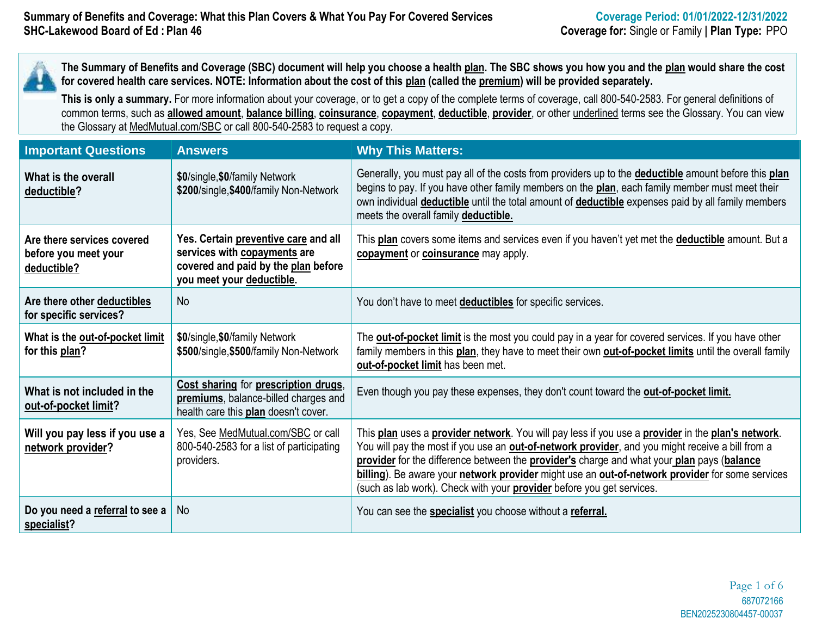**The Summary of Benefits and Coverage (SBC) document will help you choose a health plan. The SBC shows you how you and the plan would share the cost for covered health care services. NOTE: Information about the cost of this plan (called the premium) will be provided separately.**

**This is only a summary.** For more information about your coverage, or to get a copy of the complete terms of coverage, call 800-540-2583. For general definitions of common terms, such as **allowed amount**, **balance billing**, **coinsurance**, **copayment**, **deductible**, **provider**, or other underlined terms see the Glossary. You can view the Glossary at MedMutual.com/SBC or call 800-540-2583 to request a copy.

| <b>Important Questions</b>                                        | <b>Answers</b>                                                                                                                           | <b>Why This Matters:</b>                                                                                                                                                                                                                                                                                                                                                                                                                                                               |
|-------------------------------------------------------------------|------------------------------------------------------------------------------------------------------------------------------------------|----------------------------------------------------------------------------------------------------------------------------------------------------------------------------------------------------------------------------------------------------------------------------------------------------------------------------------------------------------------------------------------------------------------------------------------------------------------------------------------|
| What is the overall<br>deductible?                                | \$0/single, \$0/family Network<br>\$200/single, \$400/family Non-Network                                                                 | Generally, you must pay all of the costs from providers up to the <b>deductible</b> amount before this plan<br>begins to pay. If you have other family members on the plan, each family member must meet their<br>own individual deductible until the total amount of deductible expenses paid by all family members<br>meets the overall family deductible.                                                                                                                           |
| Are there services covered<br>before you meet your<br>deductible? | Yes. Certain preventive care and all<br>services with copayments are<br>covered and paid by the plan before<br>you meet your deductible. | This plan covers some items and services even if you haven't yet met the <b>deductible</b> amount. But a<br>copayment or coinsurance may apply.                                                                                                                                                                                                                                                                                                                                        |
| Are there other deductibles<br>for specific services?             | <b>No</b>                                                                                                                                | You don't have to meet <b>deductibles</b> for specific services.                                                                                                                                                                                                                                                                                                                                                                                                                       |
| What is the out-of-pocket limit<br>for this plan?                 | \$0/single, \$0/family Network<br>\$500/single, \$500/family Non-Network                                                                 | The <b>out-of-pocket limit</b> is the most you could pay in a year for covered services. If you have other<br>family members in this plan, they have to meet their own <b>out-of-pocket limits</b> until the overall family<br>out-of-pocket limit has been met.                                                                                                                                                                                                                       |
| What is not included in the<br>out-of-pocket limit?               | Cost sharing for prescription drugs,<br>premiums, balance-billed charges and<br>health care this plan doesn't cover.                     | Even though you pay these expenses, they don't count toward the out-of-pocket limit.                                                                                                                                                                                                                                                                                                                                                                                                   |
| Will you pay less if you use a<br>network provider?               | Yes, See MedMutual.com/SBC or call<br>800-540-2583 for a list of participating<br>providers.                                             | This plan uses a provider network. You will pay less if you use a provider in the plan's network.<br>You will pay the most if you use an out-of-network provider, and you might receive a bill from a<br>provider for the difference between the provider's charge and what your plan pays (balance<br>billing). Be aware your network provider might use an out-of-network provider for some services<br>(such as lab work). Check with your <b>provider</b> before you get services. |
| Do you need a referral to see a<br>specialist?                    | <b>No</b>                                                                                                                                | You can see the <b>specialist</b> you choose without a referral.                                                                                                                                                                                                                                                                                                                                                                                                                       |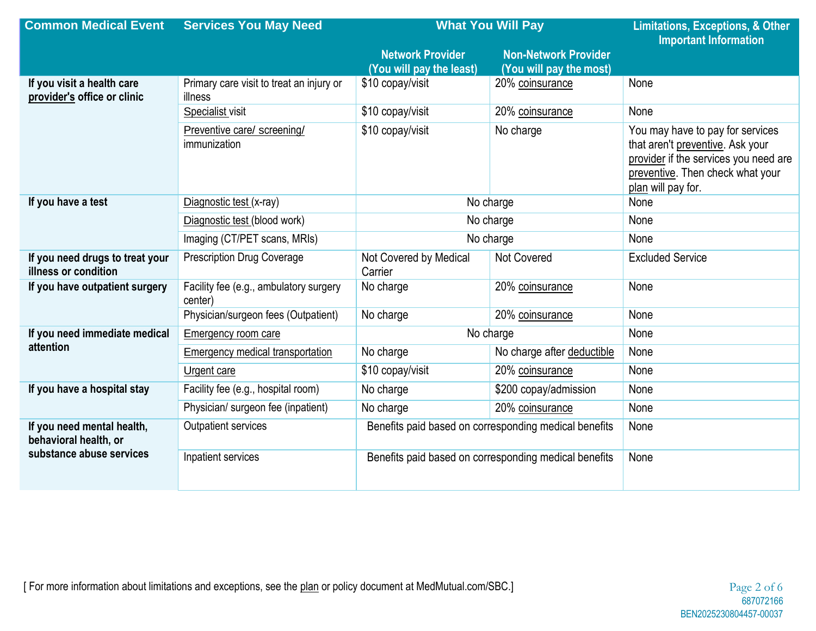| <b>Common Medical Event</b>                                                     | <b>Services You May Need</b>                        | <b>What You Will Pay</b>                                |                                                        | <b>Limitations, Exceptions, &amp; Other</b><br><b>Important Information</b>                                                                                             |
|---------------------------------------------------------------------------------|-----------------------------------------------------|---------------------------------------------------------|--------------------------------------------------------|-------------------------------------------------------------------------------------------------------------------------------------------------------------------------|
|                                                                                 |                                                     | <b>Network Provider</b><br>(You will pay the least)     | <b>Non-Network Provider</b><br>(You will pay the most) |                                                                                                                                                                         |
| If you visit a health care<br>provider's office or clinic                       | Primary care visit to treat an injury or<br>illness | \$10 copay/visit                                        | 20% coinsurance                                        | None                                                                                                                                                                    |
|                                                                                 | Specialist visit                                    | \$10 copay/visit<br>20% coinsurance                     |                                                        | None                                                                                                                                                                    |
|                                                                                 | Preventive care/ screening/<br>immunization         | \$10 copay/visit<br>No charge                           |                                                        | You may have to pay for services<br>that aren't preventive. Ask your<br>provider if the services you need are<br>preventive. Then check what your<br>plan will pay for. |
| If you have a test                                                              | Diagnostic test (x-ray)                             | No charge                                               | None                                                   |                                                                                                                                                                         |
|                                                                                 | Diagnostic test (blood work)                        | No charge                                               | None                                                   |                                                                                                                                                                         |
|                                                                                 | Imaging (CT/PET scans, MRIs)                        | No charge                                               |                                                        | None                                                                                                                                                                    |
| If you need drugs to treat your<br>illness or condition                         | <b>Prescription Drug Coverage</b>                   | <b>Not Covered</b><br>Not Covered by Medical<br>Carrier |                                                        | <b>Excluded Service</b>                                                                                                                                                 |
| If you have outpatient surgery                                                  | Facility fee (e.g., ambulatory surgery<br>center)   | No charge                                               | 20% coinsurance                                        | None                                                                                                                                                                    |
|                                                                                 | Physician/surgeon fees (Outpatient)                 | No charge                                               | 20% coinsurance                                        | None                                                                                                                                                                    |
| If you need immediate medical                                                   | <b>Emergency room care</b>                          | No charge                                               |                                                        | None                                                                                                                                                                    |
| attention                                                                       | <b>Emergency medical transportation</b>             | No charge                                               | No charge after deductible                             | None                                                                                                                                                                    |
|                                                                                 | Urgent care                                         | \$10 copay/visit                                        | 20% coinsurance                                        | None                                                                                                                                                                    |
| If you have a hospital stay                                                     | Facility fee (e.g., hospital room)                  | No charge                                               | \$200 copay/admission                                  | None                                                                                                                                                                    |
|                                                                                 | Physician/ surgeon fee (inpatient)                  | No charge                                               | 20% coinsurance                                        | None                                                                                                                                                                    |
| If you need mental health,<br>behavioral health, or<br>substance abuse services | Outpatient services                                 | Benefits paid based on corresponding medical benefits   |                                                        | None                                                                                                                                                                    |
|                                                                                 | Inpatient services                                  | Benefits paid based on corresponding medical benefits   |                                                        | None                                                                                                                                                                    |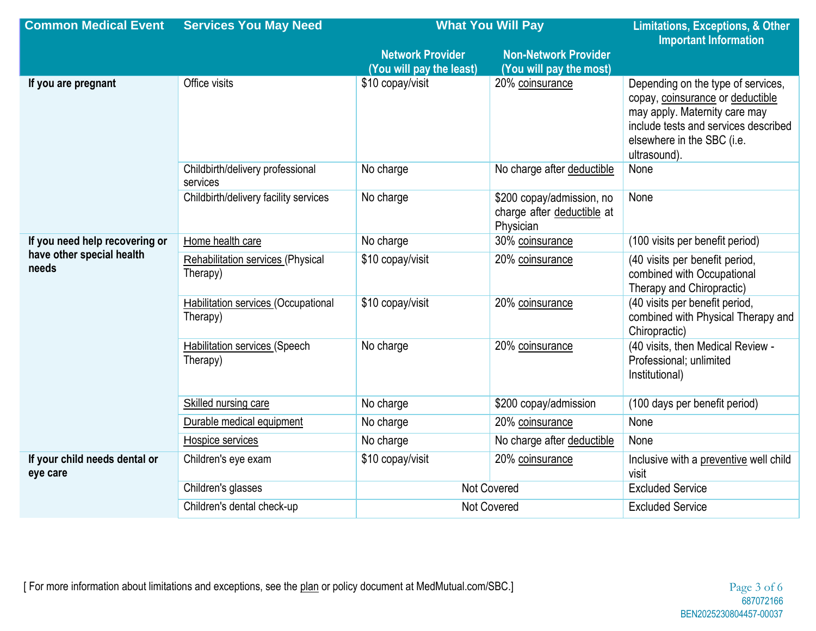| <b>Common Medical Event</b>                                          | <b>Services You May Need</b>                           | <b>What You Will Pay</b> |                                                                      | <b>Limitations, Exceptions, &amp; Other</b><br><b>Important Information</b>                                                                                                                   |
|----------------------------------------------------------------------|--------------------------------------------------------|--------------------------|----------------------------------------------------------------------|-----------------------------------------------------------------------------------------------------------------------------------------------------------------------------------------------|
|                                                                      |                                                        | <b>Network Provider</b>  | <b>Non-Network Provider</b>                                          |                                                                                                                                                                                               |
|                                                                      |                                                        | (You will pay the least) | (You will pay the most)                                              |                                                                                                                                                                                               |
| If you are pregnant                                                  | Office visits                                          | \$10 copay/visit         | 20% coinsurance                                                      | Depending on the type of services,<br>copay, coinsurance or deductible<br>may apply. Maternity care may<br>include tests and services described<br>elsewhere in the SBC (i.e.<br>ultrasound). |
|                                                                      | Childbirth/delivery professional<br>services           | No charge                | No charge after deductible                                           | None                                                                                                                                                                                          |
|                                                                      | Childbirth/delivery facility services                  | No charge                | \$200 copay/admission, no<br>charge after deductible at<br>Physician | None                                                                                                                                                                                          |
| If you need help recovering or<br>have other special health<br>needs | Home health care                                       | No charge                | 30% coinsurance                                                      | (100 visits per benefit period)                                                                                                                                                               |
|                                                                      | <b>Rehabilitation services (Physical</b><br>Therapy)   | \$10 copay/visit         | 20% coinsurance                                                      | (40 visits per benefit period,<br>combined with Occupational<br>Therapy and Chiropractic)                                                                                                     |
|                                                                      | <b>Habilitation services (Occupational</b><br>Therapy) | \$10 copay/visit         | 20% coinsurance                                                      | (40 visits per benefit period,<br>combined with Physical Therapy and<br>Chiropractic)                                                                                                         |
|                                                                      | <b>Habilitation services (Speech</b><br>Therapy)       | No charge                | 20% coinsurance                                                      | (40 visits, then Medical Review -<br>Professional; unlimited<br>Institutional)                                                                                                                |
|                                                                      | Skilled nursing care                                   | No charge                | \$200 copay/admission                                                | (100 days per benefit period)                                                                                                                                                                 |
|                                                                      | Durable medical equipment                              | No charge                | 20% coinsurance                                                      | None                                                                                                                                                                                          |
|                                                                      | Hospice services                                       | No charge                | No charge after deductible                                           | None                                                                                                                                                                                          |
| If your child needs dental or<br>eye care                            | Children's eye exam                                    | \$10 copay/visit         | 20% coinsurance                                                      | Inclusive with a preventive well child<br>visit                                                                                                                                               |
|                                                                      | Children's glasses                                     | <b>Not Covered</b>       |                                                                      | <b>Excluded Service</b>                                                                                                                                                                       |
|                                                                      | Children's dental check-up                             | Not Covered              |                                                                      | <b>Excluded Service</b>                                                                                                                                                                       |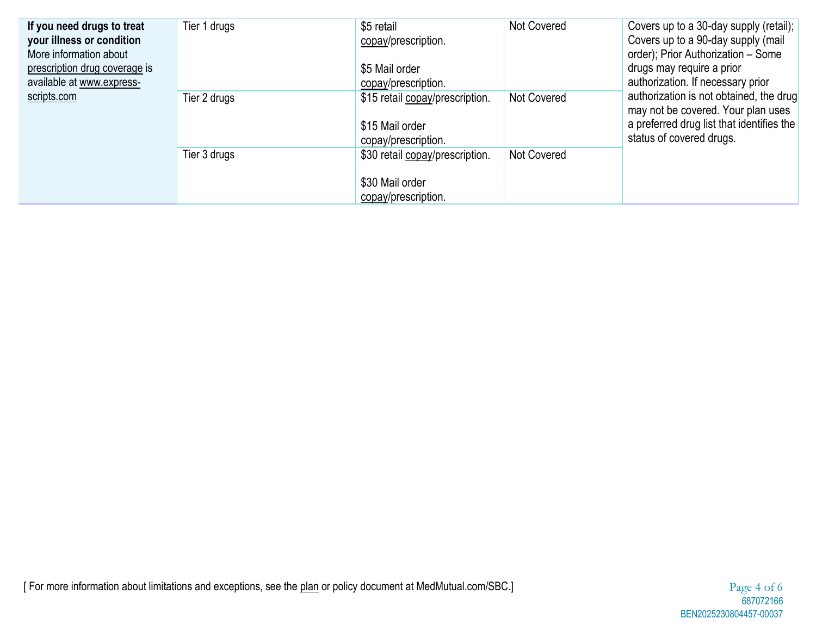| If you need drugs to treat<br>your illness or condition<br>More information about<br>prescription drug coverage is<br>available at www.express-<br>scripts.com | Tier 1 drugs | \$5 retail<br>copay/prescription.<br>\$5 Mail order<br>copay/prescription. | Not Covered | Covers up to a 30-day supply (retail);<br>Covers up to a 90-day supply (mail<br>order); Prior Authorization - Some<br>drugs may require a prior<br>authorization. If necessary prior |
|----------------------------------------------------------------------------------------------------------------------------------------------------------------|--------------|----------------------------------------------------------------------------|-------------|--------------------------------------------------------------------------------------------------------------------------------------------------------------------------------------|
|                                                                                                                                                                | Tier 2 drugs | \$15 retail copay/prescription.<br>\$15 Mail order<br>copay/prescription.  | Not Covered | authorization is not obtained, the drug<br>may not be covered. Your plan uses<br>a preferred drug list that identifies the<br>status of covered drugs.                               |
|                                                                                                                                                                | Tier 3 drugs | \$30 retail copay/prescription.<br>\$30 Mail order<br>copay/prescription.  | Not Covered |                                                                                                                                                                                      |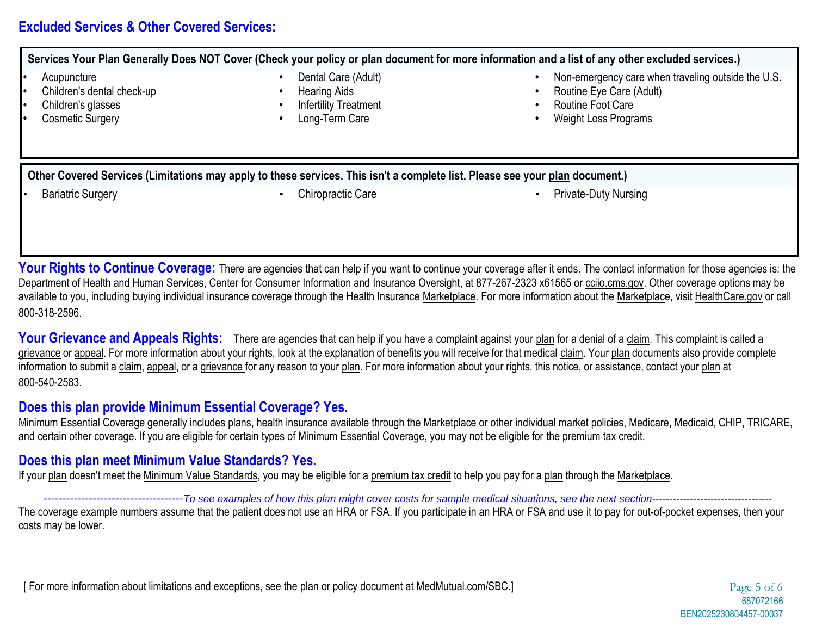## **Excluded Services & Other Covered Services:**

**Services Your Plan Generally Does NOT Cover (Check your policy or plan document for more information and a list of any other excluded services.)**

- 
- 
- 
- 
- 
- 
- **•** Children's glasses **•** Infertility Treatment **•** Routine Foot Care
	-
- **•** Dental Care (Adult) **• betal Care (Adult) • 1** Non-emergency care when traveling outside the U.S.
- **•** Children's dental check-up **•** Hearing Aids **•** Routine Eye Care (Adult)
	-
- **•** Cosmetic Surgery **•** Long-Term Care **•** Weight Loss Programs

**Other Covered Services (Limitations may apply to these services. This isn't a complete list. Please see your plan document.)**

- 
- **Bariatric Surgery Chiropractic Care Chiropractic Care Private-Duty Nursing Private-Duty Nursing**

**Your Rights to Continue Coverage:** There are agencies that can help if you want to continue your coverage after it ends. The contact information for those agencies is: the Department of Health and Human Services, Center for Consumer Information and Insurance Oversight, at 877-267-2323 x61565 or cciio.cms.gov. Other coverage options may be available to you, including buying individual insurance coverage through the Health Insurance Marketplace. For more information about the Marketplace, visit HealthCare.gov or call 800-318-2596.

Your Grievance and Appeals Rights: There are agencies that can help if you have a complaint against your plan for a denial of a claim. This complaint is called a grievance or appeal. For more information about your rights, look at the explanation of benefits you will receive for that medical claim. Your plan documents also provide complete information to submit a claim, appeal, or a grievance for any reason to your plan. For more information about your rights, this notice, or assistance, contact your plan at 800-540-2583.

## **Does this plan provide Minimum Essential Coverage? Yes.**

Minimum Essential Coverage generally includes plans, health insurance available through the Marketplace or other individual market policies, Medicare, Medicaid, CHIP, TRICARE, and certain other coverage. If you are eligible for certain types of Minimum Essential Coverage, you may not be eligible for the premium tax credit.

## **Does this plan meet Minimum Value Standards? Yes.**

If your plan doesn't meet the Minimum Value Standards, you may be eligible for a premium tax credit to help you pay for a plan through the Marketplace.

-------------------------------------*To see examples of how this plan might cover costs for sample medical situations, see the next section*----------------------------------- The coverage example numbers assume that the patient does not use an HRA or FSA. If you participate in an HRA or FSA and use it to pay for out-of-pocket expenses, then your costs may be lower.

[ For more information about limitations and exceptions, see the plan or policy document at MedMutual.com/SBC.] Page 5 of 6